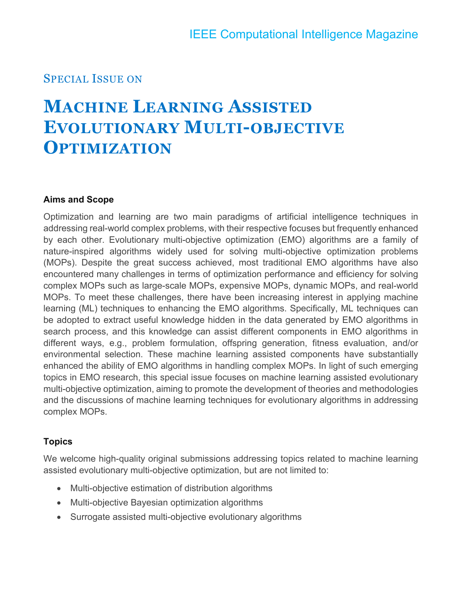### SPECIAL ISSUE ON

# **MACHINE LEARNING ASSISTED EVOLUTIONARY MULTI-OBJECTIVE OPTIMIZATION**

### **Aims and Scope**

Optimization and learning are two main paradigms of artificial intelligence techniques in addressing real-world complex problems, with their respective focuses but frequently enhanced by each other. Evolutionary multi-objective optimization (EMO) algorithms are a family of nature-inspired algorithms widely used for solving multi-objective optimization problems (MOPs). Despite the great success achieved, most traditional EMO algorithms have also encountered many challenges in terms of optimization performance and efficiency for solving complex MOPs such as large-scale MOPs, expensive MOPs, dynamic MOPs, and real-world MOPs. To meet these challenges, there have been increasing interest in applying machine learning (ML) techniques to enhancing the EMO algorithms. Specifically, ML techniques can be adopted to extract useful knowledge hidden in the data generated by EMO algorithms in search process, and this knowledge can assist different components in EMO algorithms in different ways, e.g., problem formulation, offspring generation, fitness evaluation, and/or environmental selection. These machine learning assisted components have substantially enhanced the ability of EMO algorithms in handling complex MOPs. In light of such emerging topics in EMO research, this special issue focuses on machine learning assisted evolutionary multi-objective optimization, aiming to promote the development of theories and methodologies and the discussions of machine learning techniques for evolutionary algorithms in addressing complex MOPs.

### **Topics**

We welcome high-quality original submissions addressing topics related to machine learning assisted evolutionary multi-objective optimization, but are not limited to:

- Multi-objective estimation of distribution algorithms
- Multi-objective Bayesian optimization algorithms
- Surrogate assisted multi-objective evolutionary algorithms